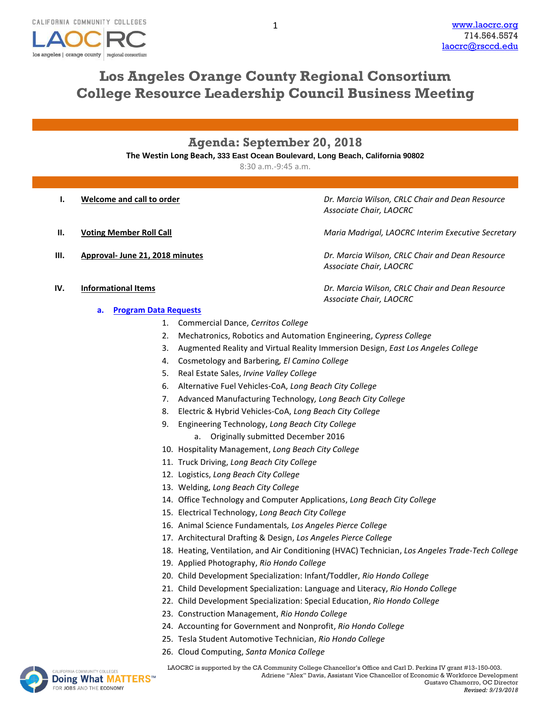

# **Los Angeles Orange County Regional Consortium College Resource Leadership Council Business Meeting**

## **Agenda: September 20, 2018**

**The Westin Long Beach, 333 East Ocean Boulevard, Long Beach, California 90802**

8:30 a.m.-9:45 a.m.

- 
- 
- 

**I. Welcome and call to order** *Dr. Marcia Wilson, CRLC Chair and Dean Resource Associate Chair, LAOCRC*

**II. Voting Member Roll Call Maria Madrigal, LAOCRC Interim Executive Secretary** 

**III. Approval- June 21, 2018 minutes** *Dr. Marcia Wilson, CRLC Chair and Dean Resource Associate Chair, LAOCRC*

**IV. Informational Items** *Dr. Marcia Wilson, CRLC Chair and Dean Resource Associate Chair, LAOCRC*

- **a. [Program Data Requests](http://www.laocrc.org/educators/program-approval/program-intents)**
	- 1. Commercial Dance, *Cerritos College*
	- 2. Mechatronics, Robotics and Automation Engineering, *Cypress College*
	- 3. Augmented Reality and Virtual Reality Immersion Design, *East Los Angeles College*
	- 4. Cosmetology and Barbering*, El Camino College*
	- 5. Real Estate Sales, *Irvine Valley College*
	- 6. Alternative Fuel Vehicles-CoA, *Long Beach City College*
	- 7. Advanced Manufacturing Technology*, Long Beach City College*
	- 8. Electric & Hybrid Vehicles-CoA, *Long Beach City College*
	- 9. Engineering Technology, *Long Beach City College*
		- a. Originally submitted December 2016
	- 10. Hospitality Management, *Long Beach City College*
	- 11. Truck Driving, *Long Beach City College*
	- 12. Logistics, *Long Beach City College*
	- 13. Welding, *Long Beach City College*
	- 14. Office Technology and Computer Applications, *Long Beach City College*
	- 15. Electrical Technology, *Long Beach City College*
	- 16. Animal Science Fundamentals*, Los Angeles Pierce College*
	- 17. Architectural Drafting & Design, *Los Angeles Pierce College*
	- 18. Heating, Ventilation, and Air Conditioning (HVAC) Technician, *Los Angeles Trade-Tech College*
	- 19. Applied Photography, *Rio Hondo College*
	- 20. Child Development Specialization: Infant/Toddler, *Rio Hondo College*
	- 21. Child Development Specialization: Language and Literacy, *Rio Hondo College*
	- 22. Child Development Specialization: Special Education, *Rio Hondo College*
	- 23. Construction Management, *Rio Hondo College*
	- 24. Accounting for Government and Nonprofit, *Rio Hondo College*
	- 25. Tesla Student Automotive Technician, *Rio Hondo College*
	- 26. Cloud Computing, *Santa Monica College*



MACOMMUNITY COLLEGES **LAOCRC** is supported by the CA Community College Chancellor's Office and Carl D. Perkins IV grant #13-150-003. Adriene "Alex" Davis, Assistant Vice Chancellor of Economic & Workforce Development Gustavo Chamorro, OC Director

1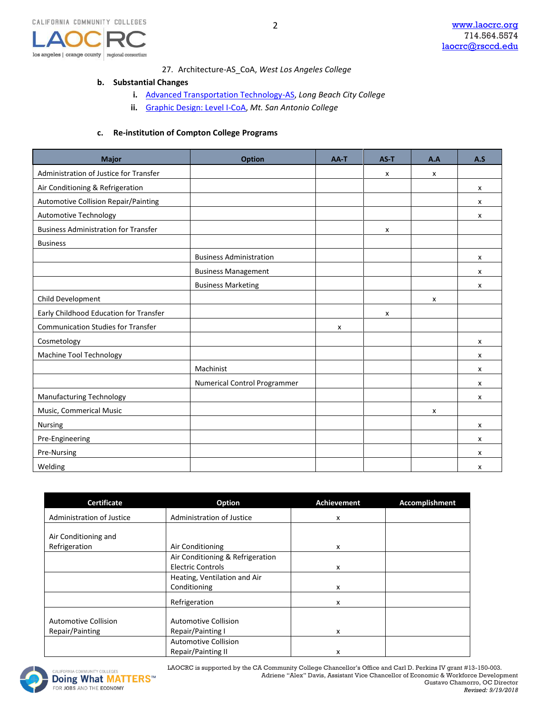

### 27. Architecture-AS\_CoA, *West Los Angeles College*

2

#### **b. Substantial Changes**

- **i.** [Advanced Transportation Technology-AS,](https://www.regionalcte.org/browse/KVr9K) *Long Beach City College*
- **ii.** [Graphic Design: Level I-CoA,](https://www.regionalcte.org/browse/3WlRK) *Mt. San Antonio College*

#### **c. Re-institution of Compton College Programs**

| <b>Major</b>                                | <b>Option</b>                  | AA-T | AS-T | A.A | A.S                       |
|---------------------------------------------|--------------------------------|------|------|-----|---------------------------|
| Administration of Justice for Transfer      |                                |      | x    | x   |                           |
| Air Conditioning & Refrigeration            |                                |      |      |     | $\boldsymbol{\mathsf{x}}$ |
| Automotive Collision Repair/Painting        |                                |      |      |     | X                         |
| Automotive Technology                       |                                |      |      |     | X                         |
| <b>Business Administration for Transfer</b> |                                |      | X    |     |                           |
| <b>Business</b>                             |                                |      |      |     |                           |
|                                             | <b>Business Administration</b> |      |      |     | x                         |
|                                             | <b>Business Management</b>     |      |      |     | X                         |
|                                             | <b>Business Marketing</b>      |      |      |     | x                         |
| Child Development                           |                                |      |      | x   |                           |
| Early Childhood Education for Transfer      |                                |      | x    |     |                           |
| <b>Communication Studies for Transfer</b>   |                                | x    |      |     |                           |
| Cosmetology                                 |                                |      |      |     | $\boldsymbol{\mathsf{x}}$ |
| Machine Tool Technology                     |                                |      |      |     | x                         |
|                                             | Machinist                      |      |      |     | x                         |
|                                             | Numerical Control Programmer   |      |      |     | $\pmb{\chi}$              |
| <b>Manufacturing Technology</b>             |                                |      |      |     | X                         |
| Music, Commerical Music                     |                                |      |      | x   |                           |
| Nursing                                     |                                |      |      |     | x                         |
| Pre-Engineering                             |                                |      |      |     | x                         |
| Pre-Nursing                                 |                                |      |      |     | x                         |
| Welding                                     |                                |      |      |     | x                         |

| <b>Certificate</b>                             | Option                                                       | <b>Achievement</b> | Accomplishment |
|------------------------------------------------|--------------------------------------------------------------|--------------------|----------------|
| Administration of Justice                      | Administration of Justice                                    | x                  |                |
| Air Conditioning and<br>Refrigeration          | Air Conditioning                                             | x                  |                |
|                                                | Air Conditioning & Refrigeration<br><b>Electric Controls</b> | x                  |                |
|                                                | Heating, Ventilation and Air<br>Conditioning                 | x                  |                |
|                                                | Refrigeration                                                | x                  |                |
| <b>Automotive Collision</b><br>Repair/Painting | <b>Automotive Collision</b><br>Repair/Painting I             | x                  |                |
|                                                | <b>Automotive Collision</b><br>Repair/Painting II            | x                  |                |

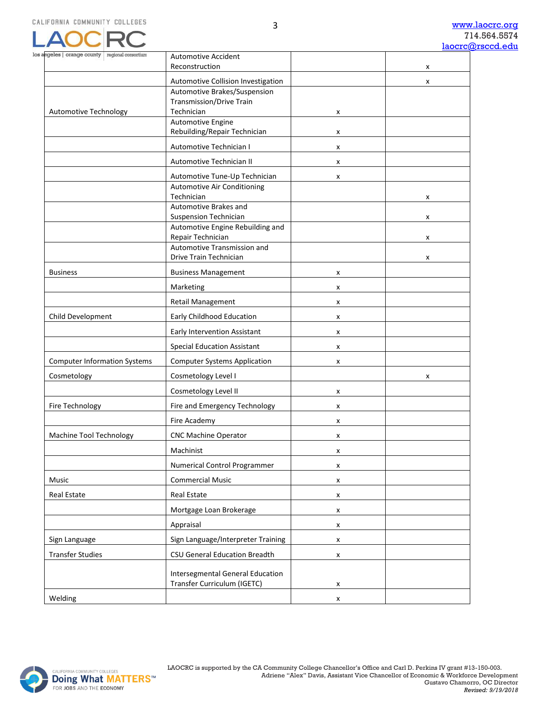

| angeles   orange county   regional consortium | <b>Automotive Accident</b>                                         |   |   |
|-----------------------------------------------|--------------------------------------------------------------------|---|---|
|                                               | Reconstruction                                                     |   | x |
|                                               | Automotive Collision Investigation<br>Automotive Brakes/Suspension |   | x |
|                                               | <b>Transmission/Drive Train</b>                                    |   |   |
| Automotive Technology                         | Technician                                                         | x |   |
|                                               | Automotive Engine                                                  |   |   |
|                                               | Rebuilding/Repair Technician                                       | x |   |
|                                               | Automotive Technician I                                            | x |   |
|                                               | Automotive Technician II                                           | x |   |
|                                               | Automotive Tune-Up Technician                                      | x |   |
|                                               | Automotive Air Conditioning                                        |   |   |
|                                               | Technician<br>Automotive Brakes and                                |   | x |
|                                               | <b>Suspension Technician</b>                                       |   | x |
|                                               | Automotive Engine Rebuilding and                                   |   |   |
|                                               | Repair Technician                                                  |   | x |
|                                               | Automotive Transmission and<br>Drive Train Technician              |   | x |
| <b>Business</b>                               | <b>Business Management</b>                                         | x |   |
|                                               | Marketing                                                          |   |   |
|                                               | Retail Management                                                  | x |   |
|                                               |                                                                    | x |   |
| Child Development                             | Early Childhood Education                                          | x |   |
|                                               | Early Intervention Assistant                                       | x |   |
|                                               | <b>Special Education Assistant</b>                                 | x |   |
| <b>Computer Information Systems</b>           | <b>Computer Systems Application</b>                                | x |   |
| Cosmetology                                   | Cosmetology Level I                                                |   | x |
|                                               | Cosmetology Level II                                               | x |   |
| Fire Technology                               | Fire and Emergency Technology                                      | x |   |
|                                               | Fire Academy                                                       | x |   |
| Machine Tool Technology                       | <b>CNC Machine Operator</b>                                        | x |   |
|                                               | Machinist                                                          | x |   |
|                                               | Numerical Control Programmer                                       | x |   |
| Music                                         | <b>Commercial Music</b>                                            | x |   |
| <b>Real Estate</b>                            | Real Estate                                                        | x |   |
|                                               | Mortgage Loan Brokerage                                            | x |   |
|                                               | Appraisal                                                          | x |   |
| Sign Language                                 | Sign Language/Interpreter Training                                 | x |   |
| <b>Transfer Studies</b>                       | CSU General Education Breadth                                      | x |   |
|                                               | <b>Intersegmental General Education</b>                            |   |   |
|                                               | Transfer Curriculum (IGETC)                                        | x |   |
| Welding                                       |                                                                    | x |   |

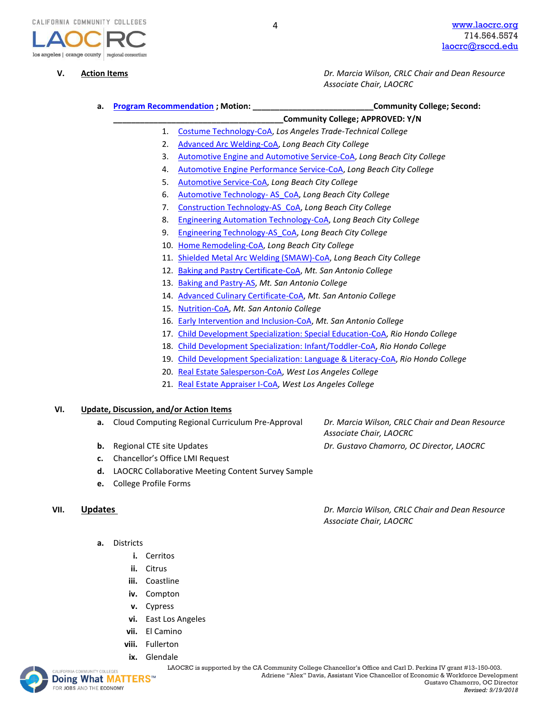

**V. Action Items** *Dr. Marcia Wilson, CRLC Chair and Dean Resource Associate Chair, LAOCRC*

**a. [Program Recommendation](https://www.regionalcte.org/browse?region=4&status=4&search=&submit=) ; Motion: \_\_\_\_\_\_\_\_\_\_\_\_\_\_\_\_\_\_\_\_\_\_\_\_\_\_\_Community College; Second:** 

- **\_\_\_\_\_\_\_\_\_\_\_\_\_\_\_\_\_\_\_\_\_\_\_\_\_\_\_\_\_\_\_\_\_\_\_\_\_\_Community College; APPROVED: Y/N**
- 1. [Costume Technology-CoA,](https://www.regionalcte.org/browse/Zrd23) *Los Angeles Trade-Technical College*
- 2. [Advanced Arc Welding-CoA,](https://www.regionalcte.org/browse/KvgxZ) *Long Beach City College*
- 3. [Automotive Engine and Automotive Service-CoA,](https://www.regionalcte.org/browse/Kl6r4) *Long Beach City College*
- 4. [Automotive Engine Performance Service-CoA,](https://www.regionalcte.org/browse/ZdgzK) *Long Beach City College*
- 5. [Automotive Service-CoA,](https://www.regionalcte.org/browse/ZrJrZ) *Long Beach City College*
- 6. [Automotive Technology-](https://www.regionalcte.org/browse/4xJbK) AS\_CoA, *Long Beach City College*
- 7. [Construction Technology-AS\\_CoA,](https://www.regionalcte.org/browse/3W2r4) *Long Beach City College*
- 8. [Engineering Automation Technology-CoA,](https://www.regionalcte.org/browse/ZbVQZ) *Long Beach City College*
- 9. [Engineering Technology-AS\\_CoA,](https://www.regionalcte.org/browse/ZYMBZ) *Long Beach City College*
- 10. [Home Remodeling-CoA,](https://www.regionalcte.org/browse/KoQa4) *Long Beach City College*
- 11. [Shielded Metal Arc Welding \(SMAW\)-CoA,](https://www.regionalcte.org/browse/40kVZ) *Long Beach City College*
- 12. [Baking and Pastry Certificate-CoA,](https://www.regionalcte.org/browse/3QRLK) *Mt. San Antonio College*
- 13. [Baking and Pastry-AS,](https://www.regionalcte.org/browse/41PrZ) *Mt. San Antonio College*
- 14. [Advanced Culinary Certificate-CoA,](https://www.regionalcte.org/browse/Z9dqK) *Mt. San Antonio College*
- 15. [Nutrition-CoA,](https://www.regionalcte.org/browse/3qjqK) *Mt. San Antonio College*
- 16. [Early Intervention and Inclusion-CoA,](https://www.regionalcte.org/browse/4PggZ) *Mt. San Antonio College*
- 17. [Child Development Specialization: Special Education-CoA,](https://www.regionalcte.org/browse/38EdK) *Rio Hondo College*
- 18. [Child Development Specialization: Infant/Toddler-CoA,](https://www.regionalcte.org/browse/3Ogy3) *Rio Hondo College*
- 19. [Child Development Specialization: Language & Literacy-CoA,](https://www.regionalcte.org/browse/4EXWZ) *Rio Hondo College*
- 20. [Real Estate Salesperson-CoA,](https://www.regionalcte.org/browse/Klor3) *West Los Angeles College*
- 21. [Real Estate Appraiser I-CoA,](https://www.regionalcte.org/browse/Zd2z3) *West Los Angeles College*

#### **VI. Update, Discussion, and/or Action Items**

- **a.** Cloud Computing Regional Curriculum Pre-Approval *Dr. Marcia Wilson, CRLC Chair and Dean Resource*
- **b.** Regional CTE site Updates *Dr. Gustavo Chamorro, OC Director, LAOCRC*
- **c.** Chancellor's Office LMI Request
- **d.** LAOCRC Collaborative Meeting Content Survey Sample
- **e.** College Profile Forms

- **a.** Districts
	- **i.** Cerritos
	- **ii.** Citrus
	- **iii.** Coastline
	- **iv.** Compton
	- **v.** Cypress
	- **vi.** East Los Angeles
	- **vii.** El Camino
	- **viii.** Fullerton
	- **ix.** [Glenda](http://www.doingwhatmatters.cccco.edu/)le



*Associate Chair, LAOCRC*

**VII. Updates** *Dr. Marcia Wilson, CRLC Chair and Dean Resource Associate Chair, LAOCRC*